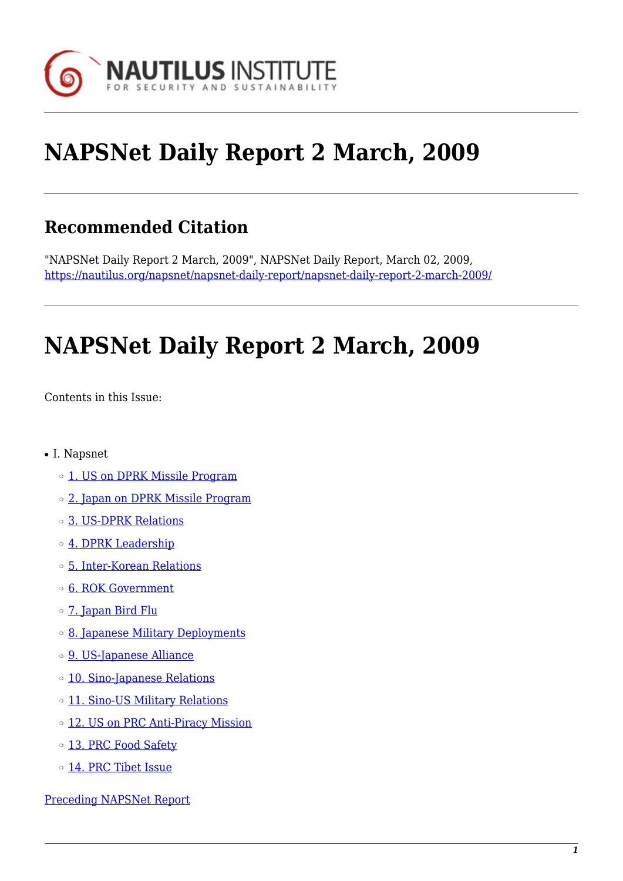

# **NAPSNet Daily Report 2 March, 2009**

# **Recommended Citation**

"NAPSNet Daily Report 2 March, 2009", NAPSNet Daily Report, March 02, 2009, <https://nautilus.org/napsnet/napsnet-daily-report/napsnet-daily-report-2-march-2009/>

# **NAPSNet Daily Report 2 March, 2009**

<span id="page-0-0"></span>Contents in this Issue:

- I. Napsnet
	- o [1. US on DPRK Missile Program](#page-1-0)
	- $\circ$  [2. Japan on DPRK Missile Program](#page-1-1)
	- ❍ [3. US-DPRK Relations](#page-1-2)
	- o [4. DPRK Leadership](#page-2-0)
	- ❍ [5. Inter-Korean Relations](#page-2-1)
	- o [6. ROK Government](#page-3-0)
	- ❍ [7. Japan Bird Flu](#page-3-1)
	- ❍ [8. Japanese Military Deployments](#page-3-2)
	- o [9. US-Japanese Alliance](#page-3-3)
	- ❍ [10. Sino-Japanese Relations](#page-4-0)
	- o [11. Sino-US Military Relations](#page-4-1)
	- o [12. US on PRC Anti-Piracy Mission](#page-4-2)
	- o [13. PRC Food Safety](#page-5-0)
	- ❍ [14. PRC Tibet Issue](#page-5-1)

[Preceding NAPSNet Report](https://nautilus.org/mailing-lists/napsnet/dr/2009-2/napsnet-daily-report-27-february-2009/)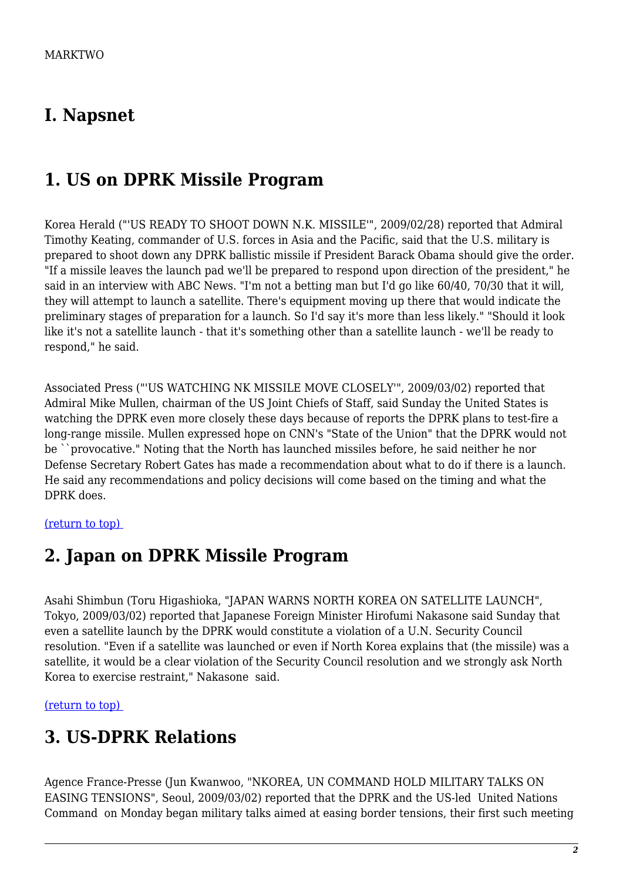#### **I. Napsnet**

### <span id="page-1-0"></span>**1. US on DPRK Missile Program**

Korea Herald ("'US READY TO SHOOT DOWN N.K. MISSILE'", 2009/02/28) reported that Admiral Timothy Keating, commander of U.S. forces in Asia and the Pacific, said that the U.S. military is prepared to shoot down any DPRK ballistic missile if President Barack Obama should give the order. "If a missile leaves the launch pad we'll be prepared to respond upon direction of the president," he said in an interview with ABC News. "I'm not a betting man but I'd go like 60/40, 70/30 that it will, they will attempt to launch a satellite. There's equipment moving up there that would indicate the preliminary stages of preparation for a launch. So I'd say it's more than less likely." "Should it look like it's not a satellite launch - that it's something other than a satellite launch - we'll be ready to respond," he said.

Associated Press ("'US WATCHING NK MISSILE MOVE CLOSELY'", 2009/03/02) reported that Admiral Mike Mullen, chairman of the US Joint Chiefs of Staff, said Sunday the United States is watching the DPRK even more closely these days because of reports the DPRK plans to test-fire a long-range missile. Mullen expressed hope on CNN's "State of the Union" that the DPRK would not be ``provocative." Noting that the North has launched missiles before, he said neither he nor Defense Secretary Robert Gates has made a recommendation about what to do if there is a launch. He said any recommendations and policy decisions will come based on the timing and what the DPRK does.

#### <span id="page-1-1"></span>[\(return to top\)](#page-0-0)

#### **2. Japan on DPRK Missile Program**

Asahi Shimbun (Toru Higashioka, "JAPAN WARNS NORTH KOREA ON SATELLITE LAUNCH", Tokyo, 2009/03/02) reported that Japanese Foreign Minister Hirofumi Nakasone said Sunday that even a satellite launch by the DPRK would constitute a violation of a U.N. Security Council resolution. "Even if a satellite was launched or even if North Korea explains that (the missile) was a satellite, it would be a clear violation of the Security Council resolution and we strongly ask North Korea to exercise restraint," Nakasone said.

<span id="page-1-2"></span>[\(return to top\)](#page-0-0) 

#### **3. US-DPRK Relations**

Agence France-Presse (Jun Kwanwoo, "NKOREA, UN COMMAND HOLD MILITARY TALKS ON EASING TENSIONS", Seoul, 2009/03/02) reported that the DPRK and the US-led United Nations Command on Monday began military talks aimed at easing border tensions, their first such meeting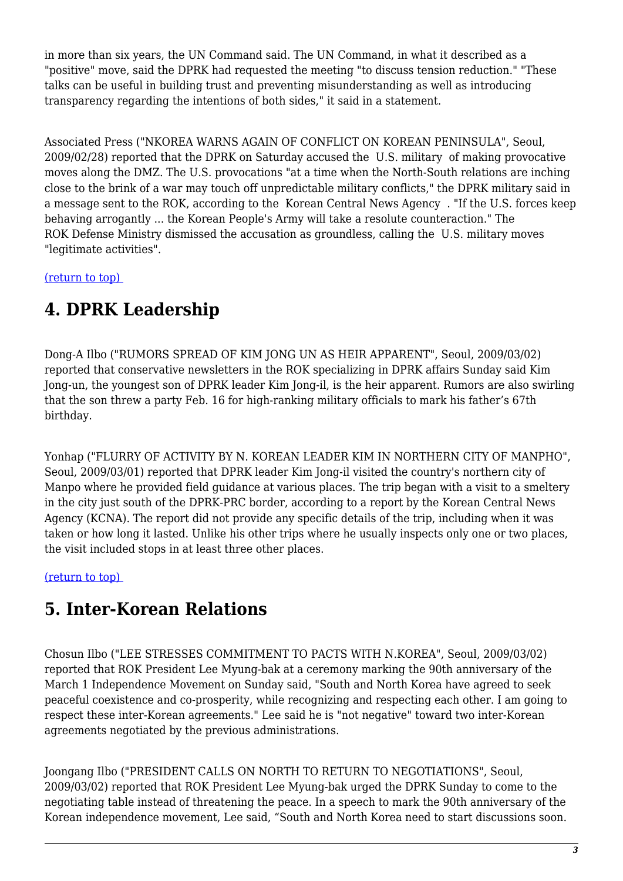in more than six years, the UN Command said. The UN Command, in what it described as a "positive" move, said the DPRK had requested the meeting "to discuss tension reduction." "These talks can be useful in building trust and preventing misunderstanding as well as introducing transparency regarding the intentions of both sides," it said in a statement.

Associated Press ("NKOREA WARNS AGAIN OF CONFLICT ON KOREAN PENINSULA", Seoul, 2009/02/28) reported that the DPRK on Saturday accused the U.S. military of making provocative moves along the DMZ. The U.S. provocations "at a time when the North-South relations are inching close to the brink of a war may touch off unpredictable military conflicts," the DPRK military said in a message sent to the ROK, according to the Korean Central News Agency . "If the U.S. forces keep behaving arrogantly ... the Korean People's Army will take a resolute counteraction." The ROK Defense Ministry dismissed the accusation as groundless, calling the U.S. military moves "legitimate activities".

<span id="page-2-0"></span>[\(return to top\)](#page-0-0) 

# **4. DPRK Leadership**

Dong-A Ilbo ("RUMORS SPREAD OF KIM JONG UN AS HEIR APPARENT", Seoul, 2009/03/02) reported that conservative newsletters in the ROK specializing in DPRK affairs Sunday said Kim Jong-un, the youngest son of DPRK leader Kim Jong-il, is the heir apparent. Rumors are also swirling that the son threw a party Feb. 16 for high-ranking military officials to mark his father's 67th birthday.

Yonhap ("FLURRY OF ACTIVITY BY N. KOREAN LEADER KIM IN NORTHERN CITY OF MANPHO", Seoul, 2009/03/01) reported that DPRK leader Kim Jong-il visited the country's northern city of Manpo where he provided field guidance at various places. The trip began with a visit to a smeltery in the city just south of the DPRK-PRC border, according to a report by the Korean Central News Agency (KCNA). The report did not provide any specific details of the trip, including when it was taken or how long it lasted. Unlike his other trips where he usually inspects only one or two places, the visit included stops in at least three other places.

<span id="page-2-1"></span>[\(return to top\)](#page-0-0) 

### **5. Inter-Korean Relations**

Chosun Ilbo ("LEE STRESSES COMMITMENT TO PACTS WITH N.KOREA", Seoul, 2009/03/02) reported that ROK President Lee Myung-bak at a ceremony marking the 90th anniversary of the March 1 Independence Movement on Sunday said, "South and North Korea have agreed to seek peaceful coexistence and co-prosperity, while recognizing and respecting each other. I am going to respect these inter-Korean agreements." Lee said he is "not negative" toward two inter-Korean agreements negotiated by the previous administrations.

Joongang Ilbo ("PRESIDENT CALLS ON NORTH TO RETURN TO NEGOTIATIONS", Seoul, 2009/03/02) reported that ROK President Lee Myung-bak urged the DPRK Sunday to come to the negotiating table instead of threatening the peace. In a speech to mark the 90th anniversary of the Korean independence movement, Lee said, "South and North Korea need to start discussions soon.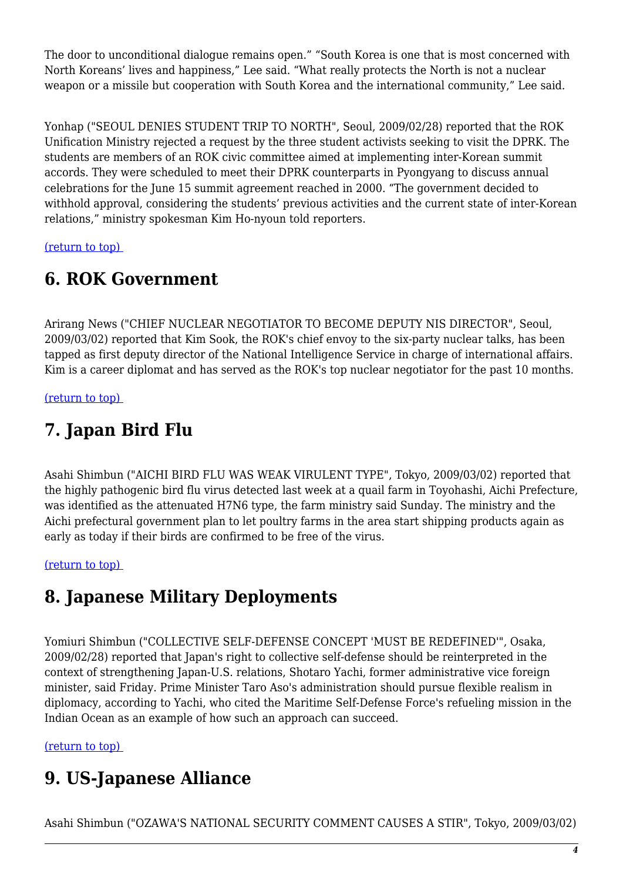The door to unconditional dialogue remains open." "South Korea is one that is most concerned with North Koreans' lives and happiness," Lee said. "What really protects the North is not a nuclear weapon or a missile but cooperation with South Korea and the international community," Lee said.

Yonhap ("SEOUL DENIES STUDENT TRIP TO NORTH", Seoul, 2009/02/28) reported that the ROK Unification Ministry rejected a request by the three student activists seeking to visit the DPRK. The students are members of an ROK civic committee aimed at implementing inter-Korean summit accords. They were scheduled to meet their DPRK counterparts in Pyongyang to discuss annual celebrations for the June 15 summit agreement reached in 2000. "The government decided to withhold approval, considering the students' previous activities and the current state of inter-Korean relations," ministry spokesman Kim Ho-nyoun told reporters.

<span id="page-3-0"></span>[\(return to top\)](#page-0-0) 

#### **6. ROK Government**

Arirang News ("CHIEF NUCLEAR NEGOTIATOR TO BECOME DEPUTY NIS DIRECTOR", Seoul, 2009/03/02) reported that Kim Sook, the ROK's chief envoy to the six-party nuclear talks, has been tapped as first deputy director of the National Intelligence Service in charge of international affairs. Kim is a career diplomat and has served as the ROK's top nuclear negotiator for the past 10 months.

<span id="page-3-1"></span>[\(return to top\)](#page-0-0) 

# **7. Japan Bird Flu**

Asahi Shimbun ("AICHI BIRD FLU WAS WEAK VIRULENT TYPE", Tokyo, 2009/03/02) reported that the highly pathogenic bird flu virus detected last week at a quail farm in Toyohashi, Aichi Prefecture, was identified as the attenuated H7N6 type, the farm ministry said Sunday. The ministry and the Aichi prefectural government plan to let poultry farms in the area start shipping products again as early as today if their birds are confirmed to be free of the virus.

<span id="page-3-2"></span>[\(return to top\)](#page-0-0) 

### **8. Japanese Military Deployments**

Yomiuri Shimbun ("COLLECTIVE SELF-DEFENSE CONCEPT 'MUST BE REDEFINED'", Osaka, 2009/02/28) reported that Japan's right to collective self-defense should be reinterpreted in the context of strengthening Japan-U.S. relations, Shotaro Yachi, former administrative vice foreign minister, said Friday. Prime Minister Taro Aso's administration should pursue flexible realism in diplomacy, according to Yachi, who cited the Maritime Self-Defense Force's refueling mission in the Indian Ocean as an example of how such an approach can succeed.

<span id="page-3-3"></span>[\(return to top\)](#page-0-0) 

# **9. US-Japanese Alliance**

Asahi Shimbun ("OZAWA'S NATIONAL SECURITY COMMENT CAUSES A STIR", Tokyo, 2009/03/02)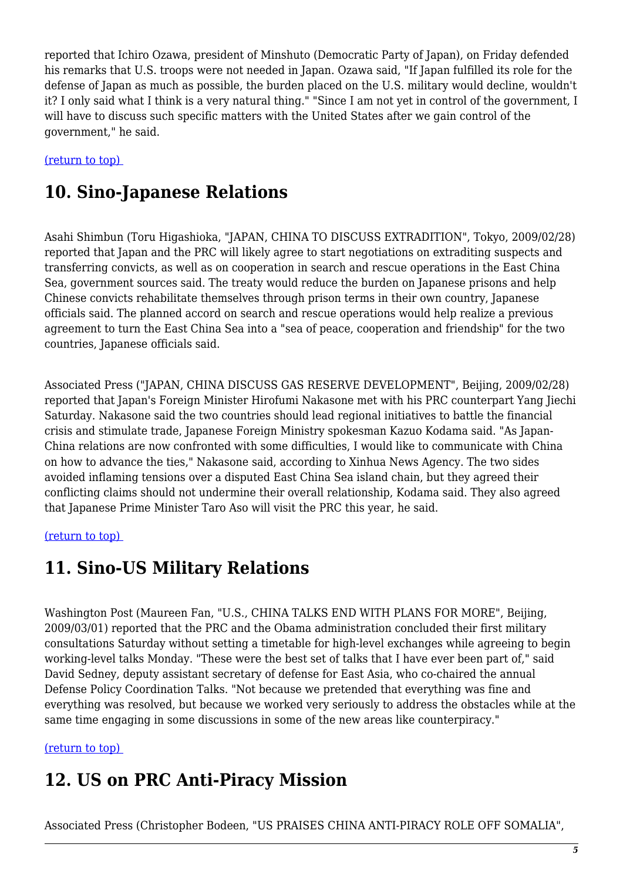reported that Ichiro Ozawa, president of Minshuto (Democratic Party of Japan), on Friday defended his remarks that U.S. troops were not needed in Japan. Ozawa said, "If Japan fulfilled its role for the defense of Japan as much as possible, the burden placed on the U.S. military would decline, wouldn't it? I only said what I think is a very natural thing." "Since I am not yet in control of the government, I will have to discuss such specific matters with the United States after we gain control of the government," he said.

<span id="page-4-0"></span>[\(return to top\)](#page-0-0) 

# **10. Sino-Japanese Relations**

Asahi Shimbun (Toru Higashioka, "JAPAN, CHINA TO DISCUSS EXTRADITION", Tokyo, 2009/02/28) reported that Japan and the PRC will likely agree to start negotiations on extraditing suspects and transferring convicts, as well as on cooperation in search and rescue operations in the East China Sea, government sources said. The treaty would reduce the burden on Japanese prisons and help Chinese convicts rehabilitate themselves through prison terms in their own country, Japanese officials said. The planned accord on search and rescue operations would help realize a previous agreement to turn the East China Sea into a "sea of peace, cooperation and friendship" for the two countries, Japanese officials said.

Associated Press ("JAPAN, CHINA DISCUSS GAS RESERVE DEVELOPMENT", Beijing, 2009/02/28) reported that Japan's Foreign Minister Hirofumi Nakasone met with his PRC counterpart Yang Jiechi Saturday. Nakasone said the two countries should lead regional initiatives to battle the financial crisis and stimulate trade, Japanese Foreign Ministry spokesman Kazuo Kodama said. "As Japan-China relations are now confronted with some difficulties, I would like to communicate with China on how to advance the ties," Nakasone said, according to Xinhua News Agency. The two sides avoided inflaming tensions over a disputed East China Sea island chain, but they agreed their conflicting claims should not undermine their overall relationship, Kodama said. They also agreed that Japanese Prime Minister Taro Aso will visit the PRC this year, he said.

#### <span id="page-4-1"></span>[\(return to top\)](#page-0-0)

### **11. Sino-US Military Relations**

Washington Post (Maureen Fan, "U.S., CHINA TALKS END WITH PLANS FOR MORE", Beijing, 2009/03/01) reported that the PRC and the Obama administration concluded their first military consultations Saturday without setting a timetable for high-level exchanges while agreeing to begin working-level talks Monday. "These were the best set of talks that I have ever been part of," said David Sedney, deputy assistant secretary of defense for East Asia, who co-chaired the annual Defense Policy Coordination Talks. "Not because we pretended that everything was fine and everything was resolved, but because we worked very seriously to address the obstacles while at the same time engaging in some discussions in some of the new areas like counterpiracy."

#### <span id="page-4-2"></span>[\(return to top\)](#page-0-0)

### **12. US on PRC Anti-Piracy Mission**

Associated Press (Christopher Bodeen, "US PRAISES CHINA ANTI-PIRACY ROLE OFF SOMALIA",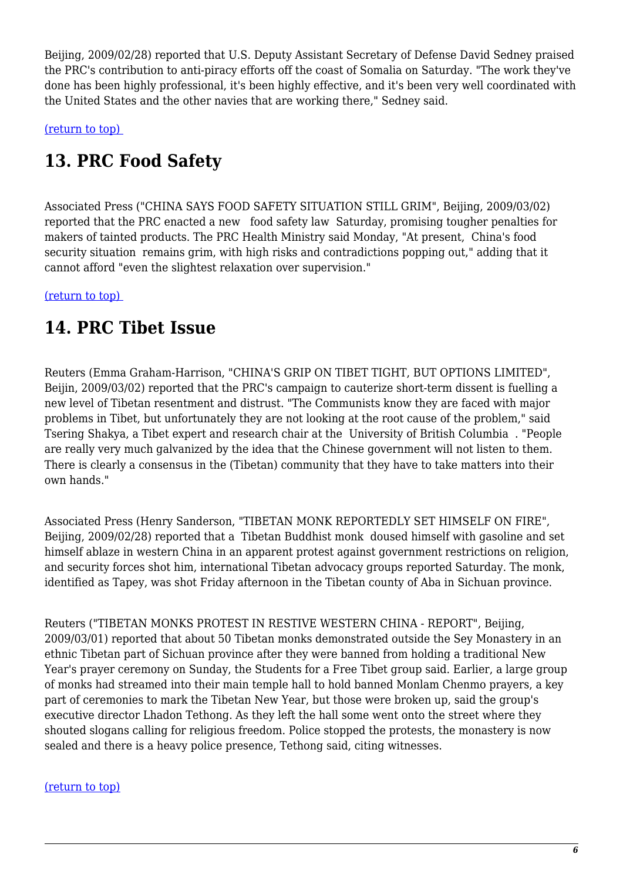Beijing, 2009/02/28) reported that U.S. Deputy Assistant Secretary of Defense David Sedney praised the PRC's contribution to anti-piracy efforts off the coast of Somalia on Saturday. "The work they've done has been highly professional, it's been highly effective, and it's been very well coordinated with the United States and the other navies that are working there," Sedney said.

<span id="page-5-0"></span>[\(return to top\)](#page-0-0) 

# **13. PRC Food Safety**

Associated Press ("CHINA SAYS FOOD SAFETY SITUATION STILL GRIM", Beijing, 2009/03/02) reported that the PRC enacted a new food safety law Saturday, promising tougher penalties for makers of tainted products. The PRC Health Ministry said Monday, "At present, China's food security situation remains grim, with high risks and contradictions popping out," adding that it cannot afford "even the slightest relaxation over supervision."

<span id="page-5-1"></span>[\(return to top\)](#page-0-0) 

### **14. PRC Tibet Issue**

Reuters (Emma Graham-Harrison, "CHINA'S GRIP ON TIBET TIGHT, BUT OPTIONS LIMITED", Beijin, 2009/03/02) reported that the PRC's campaign to cauterize short-term dissent is fuelling a new level of Tibetan resentment and distrust. "The Communists know they are faced with major problems in Tibet, but unfortunately they are not looking at the root cause of the problem," said Tsering Shakya, a Tibet expert and research chair at the University of British Columbia . "People are really very much galvanized by the idea that the Chinese government will not listen to them. There is clearly a consensus in the (Tibetan) community that they have to take matters into their own hands."

Associated Press (Henry Sanderson, "TIBETAN MONK REPORTEDLY SET HIMSELF ON FIRE", Beijing, 2009/02/28) reported that a Tibetan Buddhist monk doused himself with gasoline and set himself ablaze in western China in an apparent protest against government restrictions on religion, and security forces shot him, international Tibetan advocacy groups reported Saturday. The monk, identified as Tapey, was shot Friday afternoon in the Tibetan county of Aba in Sichuan province.

Reuters ("TIBETAN MONKS PROTEST IN RESTIVE WESTERN CHINA - REPORT", Beijing, 2009/03/01) reported that about 50 Tibetan monks demonstrated outside the Sey Monastery in an ethnic Tibetan part of Sichuan province after they were banned from holding a traditional New Year's prayer ceremony on Sunday, the Students for a Free Tibet group said. Earlier, a large group of monks had streamed into their main temple hall to hold banned Monlam Chenmo prayers, a key part of ceremonies to mark the Tibetan New Year, but those were broken up, said the group's executive director Lhadon Tethong. As they left the hall some went onto the street where they shouted slogans calling for religious freedom. Police stopped the protests, the monastery is now sealed and there is a heavy police presence, Tethong said, citing witnesses.

#### [\(return to top\)](#page-0-0)